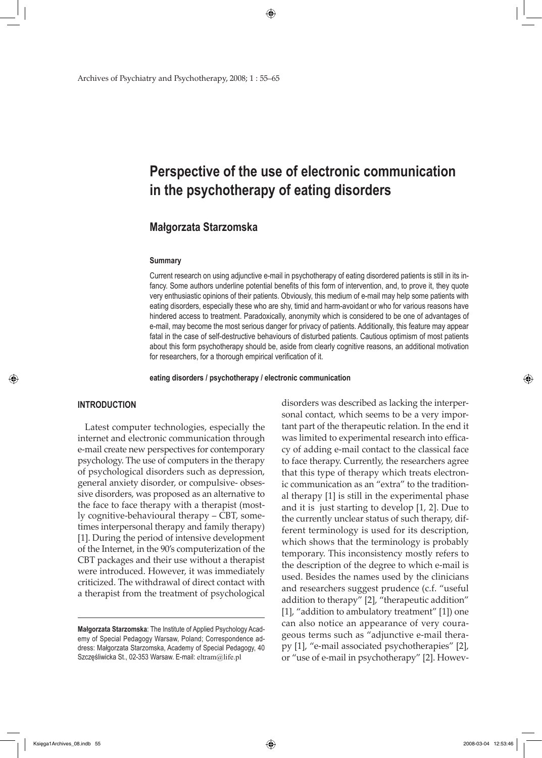Archives of Psychiatry and Psychotherapy, 2008; 1 : 55–65

# **Perspective of the use of electronic communication in the psychotherapy of eating disorders**

# **Małgorzata Starzomska**

#### **Summary**

Current research on using adjunctive e-mail in psychotherapy of eating disordered patients is still in its infancy. Some authors underline potential benefits of this form of intervention, and, to prove it, they quote very enthusiastic opinions of their patients. Obviously, this medium of e-mail may help some patients with eating disorders, especially these who are shy, timid and harm-avoidant or who for various reasons have hindered access to treatment. Paradoxically, anonymity which is considered to be one of advantages of e-mail, may become the most serious danger for privacy of patients. Additionally, this feature may appear fatal in the case of self-destructive behaviours of disturbed patients. Cautious optimism of most patients about this form psychotherapy should be, aside from clearly cognitive reasons, an additional motivation for researchers, for a thorough empirical verification of it.

**eating disorders / psychotherapy / electronic communication**

# **INTRODUCTION**

↔

Latest computer technologies, especially the internet and electronic communication through e-mail create new perspectives for contemporary psychology. The use of computers in the therapy of psychological disorders such as depression, general anxiety disorder, or compulsive- obsessive disorders, was proposed as an alternative to the face to face therapy with a therapist (mostly cognitive-behavioural therapy – CBT, sometimes interpersonal therapy and family therapy) [1]. During the period of intensive development of the Internet, in the 90's computerization of the CBT packages and their use without a therapist were introduced. However, it was immediately criticized. The withdrawal of direct contact with a therapist from the treatment of psychological disorders was described as lacking the interpersonal contact, which seems to be a very important part of the therapeutic relation. In the end it was limited to experimental research into efficacy of adding e-mail contact to the classical face to face therapy. Currently, the researchers agree that this type of therapy which treats electronic communication as an "extra" to the traditional therapy [1] is still in the experimental phase and it is just starting to develop [1, 2]. Due to the currently unclear status of such therapy, different terminology is used for its description, which shows that the terminology is probably temporary. This inconsistency mostly refers to the description of the degree to which e-mail is used. Besides the names used by the clinicians and researchers suggest prudence (c.f. "useful addition to therapy" [2], "therapeutic addition" [1], "addition to ambulatory treatment" [1]) one can also notice an appearance of very courageous terms such as "adjunctive e-mail therapy [1], "e-mail associated psychotherapies" [2], or "use of e-mail in psychotherapy" [2]. Howev-

**Małgorzata Starzomska**: The Institute of Applied Psychology Academy of Special Pedagogy Warsaw, Poland; Correspondence address: Małgorzata Starzomska, Academy of Special Pedagogy, 40 Szczęśliwicka St., 02-353 Warsaw. E-mail: eltram@life.pl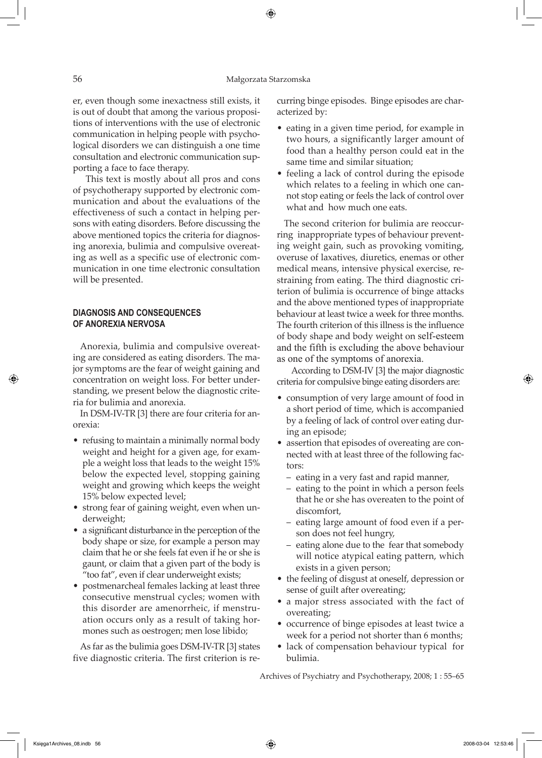#### 56 Małgorzata Starzomska

⊕

er, even though some inexactness still exists, it is out of doubt that among the various propositions of interventions with the use of electronic communication in helping people with psychological disorders we can distinguish a one time consultation and electronic communication supporting a face to face therapy.

 This text is mostly about all pros and cons of psychotherapy supported by electronic communication and about the evaluations of the effectiveness of such a contact in helping persons with eating disorders. Before discussing the above mentioned topics the criteria for diagnosing anorexia, bulimia and compulsive overeating as well as a specific use of electronic communication in one time electronic consultation will be presented.

#### **DIAGNOSIS AND CONSEQUENCES OF ANOREXIA NERVOSA**

Anorexia, bulimia and compulsive overeating are considered as eating disorders. The major symptoms are the fear of weight gaining and concentration on weight loss. For better understanding, we present below the diagnostic criteria for bulimia and anorexia.

In DSM-IV-TR [3] there are four criteria for anorexia:

- refusing to maintain a minimally normal body weight and height for a given age, for example a weight loss that leads to the weight 15% below the expected level, stopping gaining weight and growing which keeps the weight 15% below expected level;
- strong fear of gaining weight, even when underweight;
- a significant disturbance in the perception of the body shape or size, for example a person may claim that he or she feels fat even if he or she is gaunt, or claim that a given part of the body is "too fat", even if clear underweight exists;
- postmenarcheal females lacking at least three consecutive menstrual cycles; women with this disorder are amenorrheic, if menstruation occurs only as a result of taking hormones such as oestrogen; men lose libido;

As far as the bulimia goes DSM-IV-TR [3] states five diagnostic criteria. The first criterion is recurring binge episodes. Binge episodes are characterized by:

- eating in a given time period, for example in two hours, a significantly larger amount of food than a healthy person could eat in the same time and similar situation;
- feeling a lack of control during the episode which relates to a feeling in which one cannot stop eating or feels the lack of control over what and how much one eats.

The second criterion for bulimia are reoccurring inappropriate types of behaviour preventing weight gain, such as provoking vomiting, overuse of laxatives, diuretics, enemas or other medical means, intensive physical exercise, restraining from eating. The third diagnostic criterion of bulimia is occurrence of binge attacks and the above mentioned types of inappropriate behaviour at least twice a week for three months. The fourth criterion of this illness is the influence of body shape and body weight on self-esteem and the fifth is excluding the above behaviour as one of the symptoms of anorexia.

 According to DSM-IV [3] the major diagnostic criteria for compulsive binge eating disorders are:

- consumption of very large amount of food in a short period of time, which is accompanied by a feeling of lack of control over eating during an episode;
- assertion that episodes of overeating are connected with at least three of the following factors:
	- eating in a very fast and rapid manner,
	- eating to the point in which a person feels that he or she has overeaten to the point of discomfort,
	- eating large amount of food even if a person does not feel hungry,
	- eating alone due to the fear that somebody will notice atypical eating pattern, which exists in a given person;
- the feeling of disgust at oneself, depression or sense of guilt after overeating;
- a major stress associated with the fact of overeating;
- occurrence of binge episodes at least twice a week for a period not shorter than 6 months;
- lack of compensation behaviour typical for bulimia.

Archives of Psychiatry and Psychotherapy, 2008; 1 : 55–65

⇔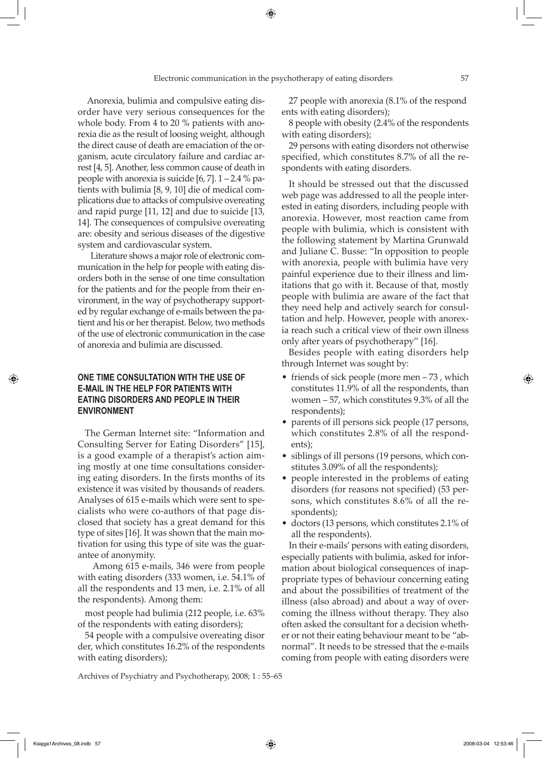Anorexia, bulimia and compulsive eating disorder have very serious consequences for the whole body. From 4 to 20 % patients with anorexia die as the result of loosing weight, although the direct cause of death are emaciation of the organism, acute circulatory failure and cardiac arrest [4, 5]. Another, less common cause of death in people with anorexia is suicide  $[6, 7]$ .  $1 - 2.4 \%$  patients with bulimia [8, 9, 10] die of medical complications due to attacks of compulsive overeating and rapid purge [11, 12] and due to suicide [13, 14]. The consequences of compulsive overeating are: obesity and serious diseases of the digestive system and cardiovascular system.

 Literature shows a major role of electronic communication in the help for people with eating disorders both in the sense of one time consultation for the patients and for the people from their environment, in the way of psychotherapy supported by regular exchange of e-mails between the patient and his or her therapist. Below, two methods of the use of electronic communication in the case of anorexia and bulimia are discussed.

# **ONE TIME CONSULTATION WITH THE USE OF E-MAIL IN THE HELP FOR PATIENTS WITH EATING DISORDERS AND PEOPLE IN THEIR ENVIRONMENT**

The German Internet site: "Information and Consulting Server for Eating Disorders" [15], is a good example of a therapist's action aiming mostly at one time consultations considering eating disorders. In the firsts months of its existence it was visited by thousands of readers. Analyses of 615 e-mails which were sent to specialists who were co-authors of that page disclosed that society has a great demand for this type of sites [16]. It was shown that the main motivation for using this type of site was the guarantee of anonymity.

 Among 615 e-mails, 346 were from people with eating disorders (333 women, i.e. 54.1% of all the respondents and 13 men, i.e. 2.1% of all the respondents). Among them:

most people had bulimia (212 people, i.e. 63% of the respondents with eating disorders);

54 people with a compulsive overeating disor der, which constitutes 16.2% of the respondents with eating disorders);

Archives of Psychiatry and Psychotherapy, 2008; 1 : 55–65

27 people with anorexia (8.1% of the respond ents with eating disorders);

8 people with obesity (2.4% of the respondents with eating disorders);

29 persons with eating disorders not otherwise specified, which constitutes 8.7% of all the respondents with eating disorders.

It should be stressed out that the discussed web page was addressed to all the people interested in eating disorders, including people with anorexia. However, most reaction came from people with bulimia, which is consistent with the following statement by Martina Grunwald and Juliane C. Busse: "In opposition to people with anorexia, people with bulimia have very painful experience due to their illness and limitations that go with it. Because of that, mostly people with bulimia are aware of the fact that they need help and actively search for consultation and help. However, people with anorexia reach such a critical view of their own illness only after years of psychotherapy" [16].

Besides people with eating disorders help through Internet was sought by:

- friends of sick people (more men 73, which constitutes 11.9% of all the respondents, than women – 57, which constitutes 9.3% of all the respondents);
- parents of ill persons sick people (17 persons, which constitutes 2.8% of all the respondents);
- siblings of ill persons (19 persons, which constitutes 3.09% of all the respondents);
- people interested in the problems of eating disorders (for reasons not specified) (53 persons, which constitutes 8.6% of all the respondents);
- doctors (13 persons, which constitutes 2.1% of all the respondents).

In their e-mails' persons with eating disorders, especially patients with bulimia, asked for information about biological consequences of inappropriate types of behaviour concerning eating and about the possibilities of treatment of the illness (also abroad) and about a way of overcoming the illness without therapy. They also often asked the consultant for a decision whether or not their eating behaviour meant to be "abnormal". It needs to be stressed that the e-mails coming from people with eating disorders were

⇔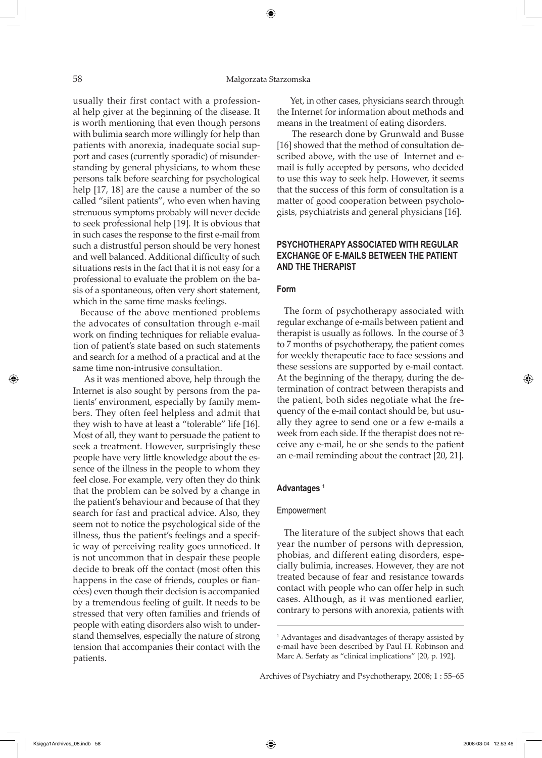#### 58 Małgorzata Starzomska

⊕

usually their first contact with a professional help giver at the beginning of the disease. It is worth mentioning that even though persons with bulimia search more willingly for help than patients with anorexia, inadequate social support and cases (currently sporadic) of misunderstanding by general physicians, to whom these persons talk before searching for psychological help [17, 18] are the cause a number of the so called "silent patients", who even when having strenuous symptoms probably will never decide to seek professional help [19]. It is obvious that in such cases the response to the first e-mail from such a distrustful person should be very honest and well balanced. Additional difficulty of such situations rests in the fact that it is not easy for a professional to evaluate the problem on the basis of a spontaneous, often very short statement, which in the same time masks feelings.

Because of the above mentioned problems the advocates of consultation through e-mail work on finding techniques for reliable evaluation of patient's state based on such statements and search for a method of a practical and at the same time non-intrusive consultation.

 As it was mentioned above, help through the Internet is also sought by persons from the patients' environment, especially by family members. They often feel helpless and admit that they wish to have at least a "tolerable" life [16]. Most of all, they want to persuade the patient to seek a treatment. However, surprisingly these people have very little knowledge about the essence of the illness in the people to whom they feel close. For example, very often they do think that the problem can be solved by a change in the patient's behaviour and because of that they search for fast and practical advice. Also, they seem not to notice the psychological side of the illness, thus the patient's feelings and a specific way of perceiving reality goes unnoticed. It is not uncommon that in despair these people decide to break off the contact (most often this happens in the case of friends, couples or fiancées) even though their decision is accompanied by a tremendous feeling of guilt. It needs to be stressed that very often families and friends of people with eating disorders also wish to understand themselves, especially the nature of strong tension that accompanies their contact with the patients.

 Yet, in other cases, physicians search through the Internet for information about methods and means in the treatment of eating disorders.

 The research done by Grunwald and Busse [16] showed that the method of consultation described above, with the use of Internet and email is fully accepted by persons, who decided to use this way to seek help. However, it seems that the success of this form of consultation is a matter of good cooperation between psychologists, psychiatrists and general physicians [16].

# **PSYCHOTHERAPY ASSOCIATED WITH REGULAR EXCHANGE OF E-MAILS BETWEEN tHE PATIENT ANd THE THERAPIST**

#### **Form**

The form of psychotherapy associated with regular exchange of e-mails between patient and therapist is usually as follows. In the course of 3 to 7 months of psychotherapy, the patient comes for weekly therapeutic face to face sessions and these sessions are supported by e-mail contact. At the beginning of the therapy, during the determination of contract between therapists and the patient, both sides negotiate what the frequency of the e-mail contact should be, but usually they agree to send one or a few e-mails a week from each side. If the therapist does not receive any e-mail, he or she sends to the patient an e-mail reminding about the contract [20, 21].

#### **Advantages 1**

#### Empowerment

The literature of the subject shows that each year the number of persons with depression, phobias, and different eating disorders, especially bulimia, increases. However, they are not treated because of fear and resistance towards contact with people who can offer help in such cases. Although, as it was mentioned earlier, contrary to persons with anorexia, patients with

Archives of Psychiatry and Psychotherapy, 2008; 1 : 55–65

<sup>1</sup> Advantages and disadvantages of therapy assisted by e-mail have been described by Paul H. Robinson and Marc A. Serfaty as "clinical implications" [20, p. 192].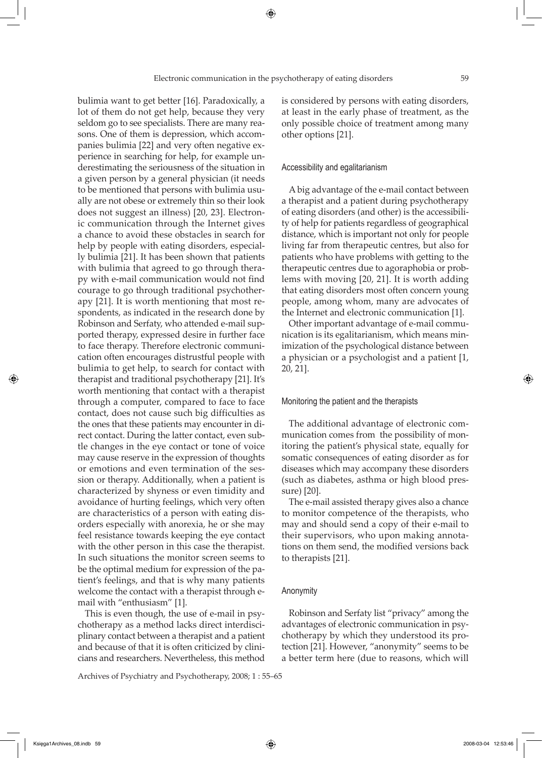bulimia want to get better [16]. Paradoxically, a lot of them do not get help, because they very seldom go to see specialists. There are many reasons. One of them is depression, which accompanies bulimia [22] and very often negative experience in searching for help, for example underestimating the seriousness of the situation in a given person by a general physician (it needs to be mentioned that persons with bulimia usually are not obese or extremely thin so their look does not suggest an illness) [20, 23]. Electronic communication through the Internet gives a chance to avoid these obstacles in search for help by people with eating disorders, especially bulimia [21]. It has been shown that patients with bulimia that agreed to go through therapy with e-mail communication would not find courage to go through traditional psychotherapy [21]. It is worth mentioning that most respondents, as indicated in the research done by Robinson and Serfaty, who attended e-mail supported therapy, expressed desire in further face to face therapy. Therefore electronic communication often encourages distrustful people with bulimia to get help, to search for contact with therapist and traditional psychotherapy [21]. It's worth mentioning that contact with a therapist through a computer, compared to face to face contact, does not cause such big difficulties as the ones that these patients may encounter in direct contact. During the latter contact, even subtle changes in the eye contact or tone of voice may cause reserve in the expression of thoughts or emotions and even termination of the session or therapy. Additionally, when a patient is characterized by shyness or even timidity and avoidance of hurting feelings, which very often are characteristics of a person with eating disorders especially with anorexia, he or she may feel resistance towards keeping the eye contact with the other person in this case the therapist. In such situations the monitor screen seems to be the optimal medium for expression of the patient's feelings, and that is why many patients welcome the contact with a therapist through email with "enthusiasm" [1].

This is even though, the use of e-mail in psychotherapy as a method lacks direct interdisciplinary contact between a therapist and a patient and because of that it is often criticized by clinicians and researchers. Nevertheless, this method

Archives of Psychiatry and Psychotherapy, 2008; 1 : 55–65

is considered by persons with eating disorders, at least in the early phase of treatment, as the only possible choice of treatment among many other options [21].

#### Accessibility and egalitarianism

A big advantage of the e-mail contact between a therapist and a patient during psychotherapy of eating disorders (and other) is the accessibility of help for patients regardless of geographical distance, which is important not only for people living far from therapeutic centres, but also for patients who have problems with getting to the therapeutic centres due to agoraphobia or problems with moving [20, 21]. It is worth adding that eating disorders most often concern young people, among whom, many are advocates of the Internet and electronic communication [1].

Other important advantage of e-mail communication is its egalitarianism, which means minimization of the psychological distance between a physician or a psychologist and a patient [1, 20, 21].

#### Monitoring the patient and the therapists

The additional advantage of electronic communication comes from the possibility of monitoring the patient's physical state, equally for somatic consequences of eating disorder as for diseases which may accompany these disorders (such as diabetes, asthma or high blood pressure) [20].

The e-mail assisted therapy gives also a chance to monitor competence of the therapists, who may and should send a copy of their e-mail to their supervisors, who upon making annotations on them send, the modified versions back to therapists [21].

#### Anonymity

Robinson and Serfaty list "privacy" among the advantages of electronic communication in psychotherapy by which they understood its protection [21]. However, "anonymity" seems to be a better term here (due to reasons, which will

⇔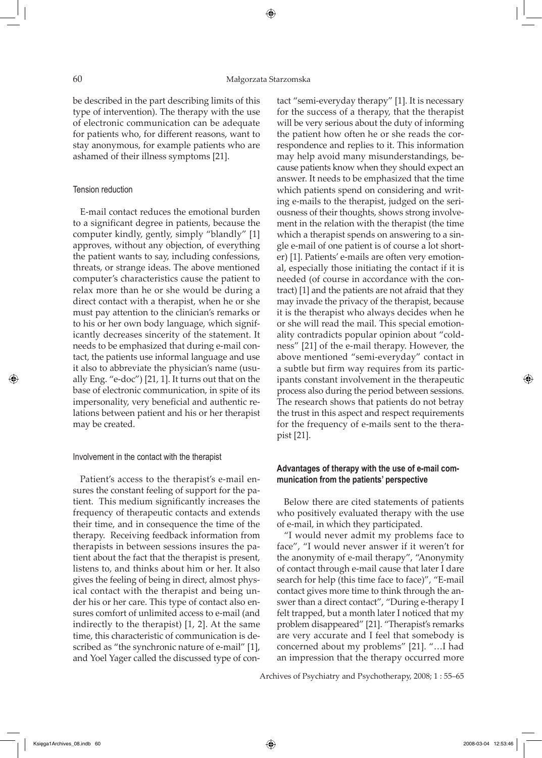be described in the part describing limits of this type of intervention). The therapy with the use of electronic communication can be adequate for patients who, for different reasons, want to stay anonymous, for example patients who are ashamed of their illness symptoms [21].

#### Tension reduction

E-mail contact reduces the emotional burden to a significant degree in patients, because the computer kindly, gently, simply "blandly" [1] approves, without any objection, of everything the patient wants to say, including confessions, threats, or strange ideas. The above mentioned computer's characteristics cause the patient to relax more than he or she would be during a direct contact with a therapist, when he or she must pay attention to the clinician's remarks or to his or her own body language, which significantly decreases sincerity of the statement. It needs to be emphasized that during e-mail contact, the patients use informal language and use it also to abbreviate the physician's name (usually Eng. "e-doc") [21, 1]. It turns out that on the base of electronic communication, in spite of its impersonality, very beneficial and authentic relations between patient and his or her therapist may be created.

#### Involvement in the contact with the therapist

Patient's access to the therapist's e-mail ensures the constant feeling of support for the patient. This medium significantly increases the frequency of therapeutic contacts and extends their time, and in consequence the time of the therapy. Receiving feedback information from therapists in between sessions insures the patient about the fact that the therapist is present, listens to, and thinks about him or her. It also gives the feeling of being in direct, almost physical contact with the therapist and being under his or her care. This type of contact also ensures comfort of unlimited access to e-mail (and indirectly to the therapist) [1, 2]. At the same time, this characteristic of communication is described as "the synchronic nature of e-mail" [1], and Yoel Yager called the discussed type of contact "semi-everyday therapy" [1]. It is necessary for the success of a therapy, that the therapist will be very serious about the duty of informing the patient how often he or she reads the correspondence and replies to it. This information may help avoid many misunderstandings, because patients know when they should expect an answer. It needs to be emphasized that the time which patients spend on considering and writing e-mails to the therapist, judged on the seriousness of their thoughts, shows strong involvement in the relation with the therapist (the time which a therapist spends on answering to a single e-mail of one patient is of course a lot shorter) [1]. Patients' e-mails are often very emotional, especially those initiating the contact if it is needed (of course in accordance with the contract) [1] and the patients are not afraid that they may invade the privacy of the therapist, because it is the therapist who always decides when he or she will read the mail. This special emotionality contradicts popular opinion about "coldness" [21] of the e-mail therapy. However, the above mentioned "semi-everyday" contact in a subtle but firm way requires from its participants constant involvement in the therapeutic process also during the period between sessions. The research shows that patients do not betray the trust in this aspect and respect requirements for the frequency of e-mails sent to the therapist [21].

# **Advantages of therapy with the use of e-mail communication from the patients' perspective**

Below there are cited statements of patients who positively evaluated therapy with the use of e-mail, in which they participated.

"I would never admit my problems face to face", "I would never answer if it weren't for the anonymity of e-mail therapy", "Anonymity of contact through e-mail cause that later I dare search for help (this time face to face)", "E-mail contact gives more time to think through the answer than a direct contact", "During e-therapy I felt trapped, but a month later I noticed that my problem disappeared" [21]. "Therapist's remarks are very accurate and I feel that somebody is concerned about my problems" [21]. "…I had an impression that the therapy occurred more

Archives of Psychiatry and Psychotherapy, 2008; 1 : 55–65

Księga1Archives\_08.indb 60 2008-03-04 12:53:46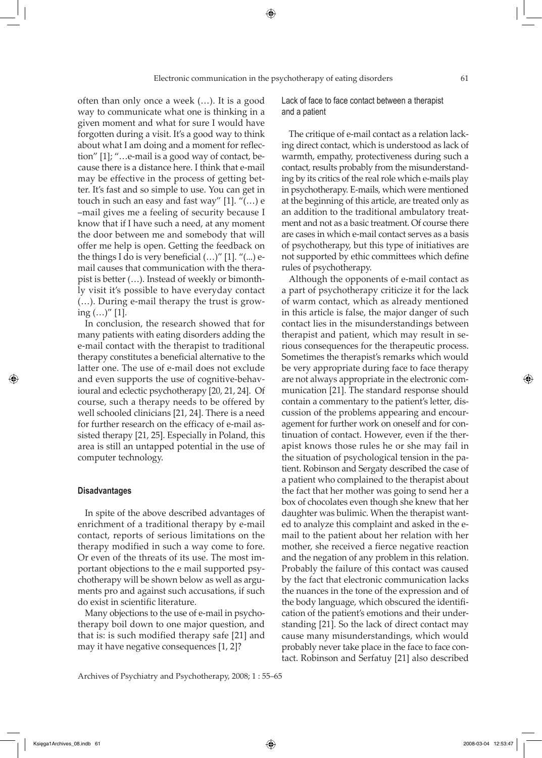often than only once a week (…). It is a good way to communicate what one is thinking in a given moment and what for sure I would have forgotten during a visit. It's a good way to think about what I am doing and a moment for reflection" [1]; "…e-mail is a good way of contact, because there is a distance here. I think that e-mail may be effective in the process of getting better. It's fast and so simple to use. You can get in touch in such an easy and fast way" [1]. "(…) e –mail gives me a feeling of security because I know that if I have such a need, at any moment the door between me and somebody that will offer me help is open. Getting the feedback on the things I do is very beneficial  $(...)$ " [1]. " $(...)$  email causes that communication with the therapist is better (…). Instead of weekly or bimonthly visit it's possible to have everyday contact (…). During e-mail therapy the trust is growing  $(...)''$  [1].

In conclusion, the research showed that for many patients with eating disorders adding the e-mail contact with the therapist to traditional therapy constitutes a beneficial alternative to the latter one. The use of e-mail does not exclude and even supports the use of cognitive-behavioural and eclectic psychotherapy [20, 21, 24]. Of course, such a therapy needs to be offered by well schooled clinicians [21, 24]. There is a need for further research on the efficacy of e-mail assisted therapy [21, 25]. Especially in Poland, this area is still an untapped potential in the use of computer technology.

#### **Disadvantages**

⇔

In spite of the above described advantages of enrichment of a traditional therapy by e-mail contact, reports of serious limitations on the therapy modified in such a way come to fore. Or even of the threats of its use. The most important objections to the e mail supported psychotherapy will be shown below as well as arguments pro and against such accusations, if such do exist in scientific literature.

Many objections to the use of e-mail in psychotherapy boil down to one major question, and that is: is such modified therapy safe [21] and may it have negative consequences [1, 2]?

Archives of Psychiatry and Psychotherapy, 2008; 1 : 55–65

Lack of face to face contact between a therapist and a patient

The critique of e-mail contact as a relation lacking direct contact, which is understood as lack of warmth, empathy, protectiveness during such a contact, results probably from the misunderstanding by its critics of the real role which e-mails play in psychotherapy. E-mails, which were mentioned at the beginning of this article, are treated only as an addition to the traditional ambulatory treatment and not as a basic treatment. Of course there are cases in which e-mail contact serves as a basis of psychotherapy, but this type of initiatives are not supported by ethic committees which define rules of psychotherapy.

Although the opponents of e-mail contact as a part of psychotherapy criticize it for the lack of warm contact, which as already mentioned in this article is false, the major danger of such contact lies in the misunderstandings between therapist and patient, which may result in serious consequences for the therapeutic process. Sometimes the therapist's remarks which would be very appropriate during face to face therapy are not always appropriate in the electronic communication [21]. The standard response should contain a commentary to the patient's letter, discussion of the problems appearing and encouragement for further work on oneself and for continuation of contact. However, even if the therapist knows those rules he or she may fail in the situation of psychological tension in the patient. Robinson and Sergaty described the case of a patient who complained to the therapist about the fact that her mother was going to send her a box of chocolates even though she knew that her daughter was bulimic. When the therapist wanted to analyze this complaint and asked in the email to the patient about her relation with her mother, she received a fierce negative reaction and the negation of any problem in this relation. Probably the failure of this contact was caused by the fact that electronic communication lacks the nuances in the tone of the expression and of the body language, which obscured the identification of the patient's emotions and their understanding [21]. So the lack of direct contact may cause many misunderstandings, which would probably never take place in the face to face contact. Robinson and Serfatuy [21] also described

Księga1Archives\_08.indb 61 2008-03-04 12:53:47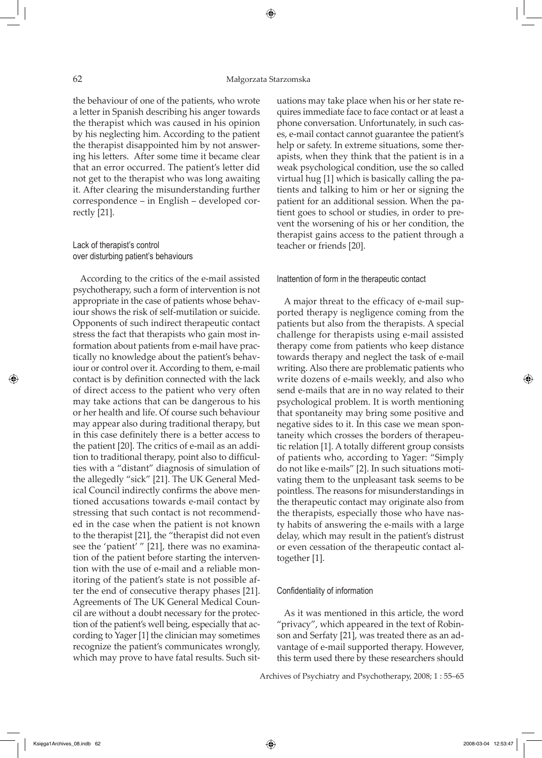the behaviour of one of the patients, who wrote a letter in Spanish describing his anger towards the therapist which was caused in his opinion by his neglecting him. According to the patient the therapist disappointed him by not answering his letters. After some time it became clear that an error occurred. The patient's letter did not get to the therapist who was long awaiting it. After clearing the misunderstanding further correspondence – in English – developed correctly [21].

# Lack of therapist's control over disturbing patient's behaviours

According to the critics of the e-mail assisted psychotherapy, such a form of intervention is not appropriate in the case of patients whose behaviour shows the risk of self-mutilation or suicide. Opponents of such indirect therapeutic contact stress the fact that therapists who gain most information about patients from e-mail have practically no knowledge about the patient's behaviour or control over it. According to them, e-mail contact is by definition connected with the lack of direct access to the patient who very often may take actions that can be dangerous to his or her health and life. Of course such behaviour may appear also during traditional therapy, but in this case definitely there is a better access to the patient [20]. The critics of e-mail as an addition to traditional therapy, point also to difficulties with a "distant" diagnosis of simulation of the allegedly "sick" [21]. The UK General Medical Council indirectly confirms the above mentioned accusations towards e-mail contact by stressing that such contact is not recommended in the case when the patient is not known to the therapist [21], the "therapist did not even see the 'patient' " [21], there was no examination of the patient before starting the intervention with the use of e-mail and a reliable monitoring of the patient's state is not possible after the end of consecutive therapy phases [21]. Agreements of The UK General Medical Council are without a doubt necessary for the protection of the patient's well being, especially that according to Yager [1] the clinician may sometimes recognize the patient's communicates wrongly, which may prove to have fatal results. Such situations may take place when his or her state requires immediate face to face contact or at least a phone conversation. Unfortunately, in such cases, e-mail contact cannot guarantee the patient's help or safety. In extreme situations, some therapists, when they think that the patient is in a weak psychological condition, use the so called virtual hug [1] which is basically calling the patients and talking to him or her or signing the patient for an additional session. When the patient goes to school or studies, in order to prevent the worsening of his or her condition, the therapist gains access to the patient through a teacher or friends [20].

#### Inattention of form in the therapeutic contact

A major threat to the efficacy of e-mail supported therapy is negligence coming from the patients but also from the therapists. A special challenge for therapists using e-mail assisted therapy come from patients who keep distance towards therapy and neglect the task of e-mail writing. Also there are problematic patients who write dozens of e-mails weekly, and also who send e-mails that are in no way related to their psychological problem. It is worth mentioning that spontaneity may bring some positive and negative sides to it. In this case we mean spontaneity which crosses the borders of therapeutic relation [1]. A totally different group consists of patients who, according to Yager: "Simply do not like e-mails" [2]. In such situations motivating them to the unpleasant task seems to be pointless. The reasons for misunderstandings in the therapeutic contact may originate also from the therapists, especially those who have nasty habits of answering the e-mails with a large delay, which may result in the patient's distrust or even cessation of the therapeutic contact altogether [1].

#### Confidentiality of information

As it was mentioned in this article, the word "privacy", which appeared in the text of Robinson and Serfaty [21], was treated there as an advantage of e-mail supported therapy. However, this term used there by these researchers should

Archives of Psychiatry and Psychotherapy, 2008; 1 : 55–65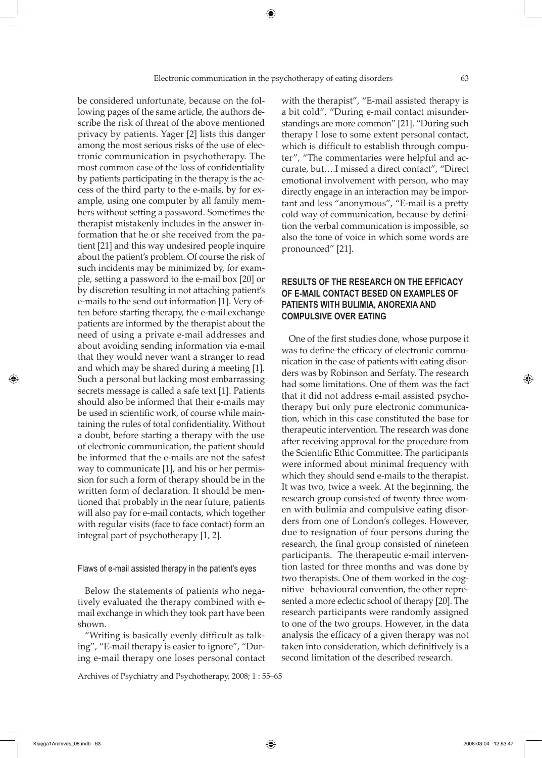be considered unfortunate, because on the following pages of the same article, the authors describe the risk of threat of the above mentioned privacy by patients. Yager [2] lists this danger among the most serious risks of the use of electronic communication in psychotherapy. The most common case of the loss of confidentiality by patients participating in the therapy is the access of the third party to the e-mails, by for example, using one computer by all family members without setting a password. Sometimes the therapist mistakenly includes in the answer information that he or she received from the patient [21] and this way undesired people inquire about the patient's problem. Of course the risk of such incidents may be minimized by, for example, setting a password to the e-mail box [20] or by discretion resulting in not attaching patient's e-mails to the send out information [1]. Very often before starting therapy, the e-mail exchange patients are informed by the therapist about the need of using a private e-mail addresses and about avoiding sending information via e-mail that they would never want a stranger to read and which may be shared during a meeting [1]. Such a personal but lacking most embarrassing secrets message is called a safe text [1]. Patients should also be informed that their e-mails may be used in scientific work, of course while maintaining the rules of total confidentiality. Without a doubt, before starting a therapy with the use of electronic communication, the patient should be informed that the e-mails are not the safest way to communicate [1], and his or her permission for such a form of therapy should be in the written form of declaration. It should be mentioned that probably in the near future, patients will also pay for e-mail contacts, which together with regular visits (face to face contact) form an integral part of psychotherapy [1, 2].

Flaws of e-mail assisted therapy in the patient's eyes

Below the statements of patients who negatively evaluated the therapy combined with email exchange in which they took part have been shown.

"Writing is basically evenly difficult as talking", "E-mail therapy is easier to ignore", "During e-mail therapy one loses personal contact

Archives of Psychiatry and Psychotherapy, 2008; 1 : 55–65

with the therapist", "E-mail assisted therapy is a bit cold", "During e-mail contact misunderstandings are more common" [21]. "During such therapy I lose to some extent personal contact, which is difficult to establish through computer", "The commentaries were helpful and accurate, but….I missed a direct contact", "Direct emotional involvement with person, who may directly engage in an interaction may be important and less "anonymous", "E-mail is a pretty cold way of communication, because by definition the verbal communication is impossible, so also the tone of voice in which some words are pronounced" [21].

# **RESULTS OF THE RESEARCH ON THE EFFICACY OF E-MAIL CONTACT BESED ON EXAMPLES OF PATIENTS WITH BULIMIA, ANOREXIA AND COMPULSIVE OVER EATING**

One of the first studies done, whose purpose it was to define the efficacy of electronic communication in the case of patients with eating disorders was by Robinson and Serfaty. The research had some limitations. One of them was the fact that it did not address e-mail assisted psychotherapy but only pure electronic communication, which in this case constituted the base for therapeutic intervention. The research was done after receiving approval for the procedure from the Scientific Ethic Committee. The participants were informed about minimal frequency with which they should send e-mails to the therapist. It was two, twice a week. At the beginning, the research group consisted of twenty three women with bulimia and compulsive eating disorders from one of London's colleges. However, due to resignation of four persons during the research, the final group consisted of nineteen participants. The therapeutic e-mail intervention lasted for three months and was done by two therapists. One of them worked in the cognitive –behavioural convention, the other represented a more eclectic school of therapy [20]. The research participants were randomly assigned to one of the two groups. However, in the data analysis the efficacy of a given therapy was not taken into consideration, which definitively is a second limitation of the described research.

Księga1Archives\_08.indb 63 2008-03-04 12:53:47

⇔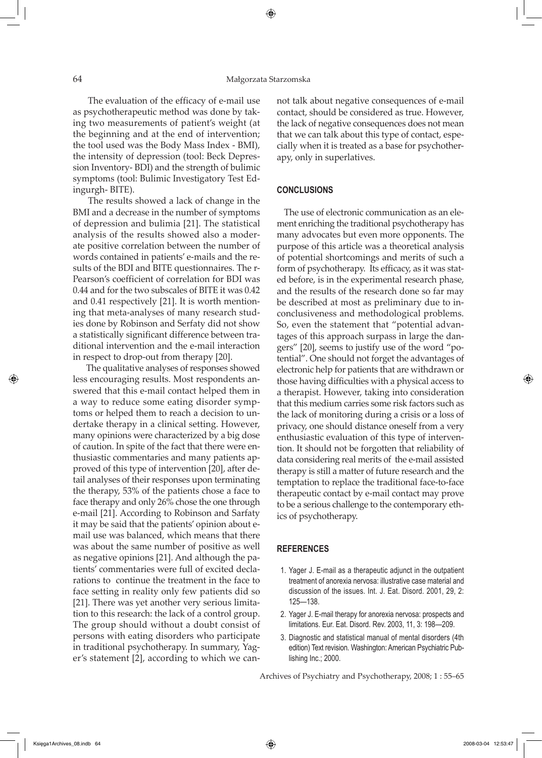The evaluation of the efficacy of e-mail use as psychotherapeutic method was done by taking two measurements of patient's weight (at the beginning and at the end of intervention; the tool used was the Body Mass Index - BMI), the intensity of depression (tool: Beck Depression Inventory- BDI) and the strength of bulimic symptoms (tool: Bulimic Investigatory Test Edingurgh- BITE).

 The results showed a lack of change in the BMI and a decrease in the number of symptoms of depression and bulimia [21]. The statistical analysis of the results showed also a moderate positive correlation between the number of words contained in patients' e-mails and the results of the BDI and BITE questionnaires. The r-Pearson's coefficient of correlation for BDI was 0.44 and for the two subscales of BITE it was 0.42 and 0.41 respectively [21]. It is worth mentioning that meta-analyses of many research studies done by Robinson and Serfaty did not show a statistically significant difference between traditional intervention and the e-mail interaction in respect to drop-out from therapy [20].

 The qualitative analyses of responses showed less encouraging results. Most respondents answered that this e-mail contact helped them in a way to reduce some eating disorder symptoms or helped them to reach a decision to undertake therapy in a clinical setting. However, many opinions were characterized by a big dose of caution. In spite of the fact that there were enthusiastic commentaries and many patients approved of this type of intervention [20], after detail analyses of their responses upon terminating the therapy, 53% of the patients chose a face to face therapy and only 26% chose the one through e-mail [21]. According to Robinson and Sarfaty it may be said that the patients' opinion about email use was balanced, which means that there was about the same number of positive as well as negative opinions [21]. And although the patients' commentaries were full of excited declarations to continue the treatment in the face to face setting in reality only few patients did so [21]. There was yet another very serious limitation to this research: the lack of a control group. The group should without a doubt consist of persons with eating disorders who participate in traditional psychotherapy. In summary, Yager's statement [2], according to which we cannot talk about negative consequences of e-mail contact, should be considered as true. However, the lack of negative consequences does not mean that we can talk about this type of contact, especially when it is treated as a base for psychotherapy, only in superlatives.

### **CONCLUSIONS**

The use of electronic communication as an element enriching the traditional psychotherapy has many advocates but even more opponents. The purpose of this article was a theoretical analysis of potential shortcomings and merits of such a form of psychotherapy. Its efficacy, as it was stated before, is in the experimental research phase, and the results of the research done so far may be described at most as preliminary due to inconclusiveness and methodological problems. So, even the statement that "potential advantages of this approach surpass in large the dangers" [20], seems to justify use of the word "potential". One should not forget the advantages of electronic help for patients that are withdrawn or those having difficulties with a physical access to a therapist. However, taking into consideration that this medium carries some risk factors such as the lack of monitoring during a crisis or a loss of privacy, one should distance oneself from a very enthusiastic evaluation of this type of intervention. It should not be forgotten that reliability of data considering real merits of the e-mail assisted therapy is still a matter of future research and the temptation to replace the traditional face-to-face therapeutic contact by e-mail contact may prove to be a serious challenge to the contemporary ethics of psychotherapy.

#### **REFERENCES**

- 1. Yager J. E-mail as a therapeutic adjunct in the outpatient treatment of anorexia nervosa: illustrative case material and discussion of the issues. Int. J. Eat. Disord. 2001, 29, 2: 125—138.
- 2. Yager J. E-mail therapy for anorexia nervosa: prospects and limitations. Eur. Eat. Disord. Rev. 2003, 11, 3: 198—209.
- 3. Diagnostic and statistical manual of mental disorders (4th edition) Text revision. Washington: American Psychiatric Publishing Inc.; 2000.

Archives of Psychiatry and Psychotherapy, 2008; 1 : 55–65

⇔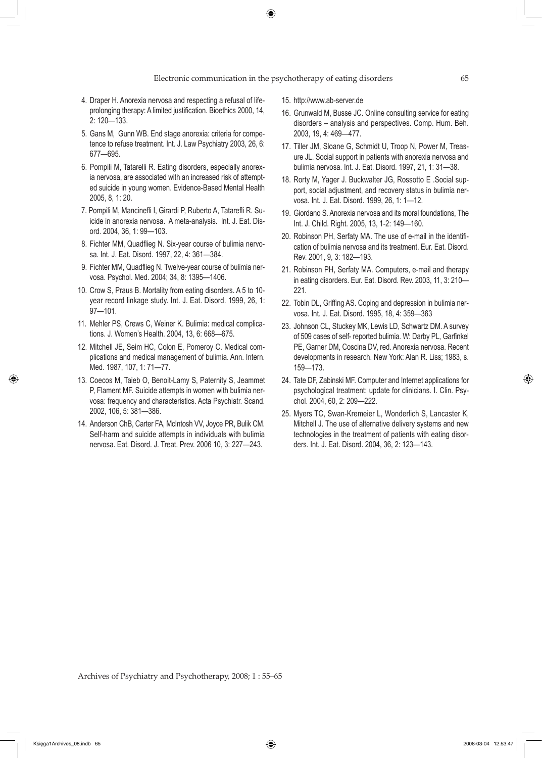#### Electronic communication in the psychotherapy of eating disorders 65

- 4. Draper H. Anorexia nervosa and respecting a refusal of lifeprolonging therapy: A limited justification. Bioethics 2000, 14, 2: 120—133.
- 5. Gans M, Gunn WB. End stage anorexia: criteria for competence to refuse treatment. Int. J. Law Psychiatry 2003, 26, 6: 677—695.
- 6. Pompili M, Tatarelli R. Eating disorders, especially anorexia nervosa, are associated with an increased risk of attempted suicide in young women. Evidence-Based Mental Health 2005, 8, 1: 20.
- 7. Pompili M, Mancinefli I, Girardi P, Ruberto A, Tatarefli R. Suicide in anorexia nervosa. A meta-analysis. Int. J. Eat. Disord. 2004, 36, 1: 99—103.
- 8. Fichter MM, Quadflieg N. Six-year course of bulimia nervosa. Int. J. Eat. Disord. 1997, 22, 4: 361—384.
- 9. Fichter MM, Quadflieg N. Twelve-year course of bulimia nervosa. Psychol. Med. 2004; 34, 8: 1395—1406.
- 10. Crow S, Praus B. Mortality from eating disorders. A 5 to 10 year record linkage study. Int. J. Eat. Disord. 1999, 26, 1: 97—101.
- 11. Mehler PS, Crews C, Weiner K. Bulimia: medical complications. J. Women's Health. 2004, 13, 6: 668—675.
- 12. Mitchell JE, Seim HC, Colon E, Pomeroy C. Medical complications and medical management of bulimia. Ann. Intern. Med. 1987, 107, 1: 71—77.
- 13. Coecos M, Taieb O, Benoit-Lamy S, Paternity S, Jeammet P, Flament MF. Suicide attempts in women with bulimia nervosa: frequency and characteristics. Acta Psychiatr. Scand. 2002, 106, 5: 381—386.
- 14. Anderson ChB, Carter FA, McIntosh VV, Joyce PR, Bulik CM. Self-harm and suicide attempts in individuals with bulimia nervosa. Eat. Disord. J. Treat. Prev. 2006 10, 3: 227—243.
- 15. http://www.ab-server.de
- 16. Grunwald M, Busse JC. Online consulting service for eating disorders – analysis and perspectives. Comp. Hum. Beh. 2003, 19, 4: 469—477.
- 17. Tiller JM, Sloane G, Schmidt U, Troop N, Power M, Treasure JL. Social support in patients with anorexia nervosa and bulimia nervosa. Int. J. Eat. Disord. 1997, 21, 1: 31—38.
- 18. Rorty M, Yager J. Buckwalter JG, Rossotto E .Social support, social adjustment, and recovery status in bulimia nervosa. Int. J. Eat. Disord. 1999, 26, 1: 1—12.
- 19. Giordano S. Anorexia nervosa and its moral foundations, The Int. J. Child. Right. 2005, 13, 1-2: 149—160.
- 20. Robinson PH, Serfaty MA. The use of e-mail in the identification of bulimia nervosa and its treatment. Eur. Eat. Disord. Rev. 2001, 9, 3: 182—193.
- 21. Robinson PH, Serfaty MA. Computers, e-mail and therapy in eating disorders. Eur. Eat. Disord. Rev. 2003, 11, 3: 210— 221.
- 22. Tobin DL, Griffing AS. Coping and depression in bulimia nervosa. Int. J. Eat. Disord. 1995, 18, 4: 359—363
- 23. Johnson CL, Stuckey MK, Lewis LD, Schwartz DM. A survey of 509 cases of self- reported bulimia. W: Darby PL, Garfinkel PE, Garner DM, Coscina DV, red. Anorexia nervosa. Recent developments in research. New York: Alan R. Liss; 1983, s. 159—173.
- 24. Tate DF, Zabinski MF. Computer and Internet applications for psychological treatment: update for clinicians. I. Clin. Psychol. 2004, 60, 2: 209—222.
- 25. Myers TC, Swan-Kremeier L, Wonderlich S, Lancaster K, Mitchell J. The use of alternative delivery systems and new technologies in the treatment of patients with eating disorders. Int. J. Eat. Disord. 2004, 36, 2: 123—143.

Archives of Psychiatry and Psychotherapy, 2008; 1 : 55–65

↔

⊕